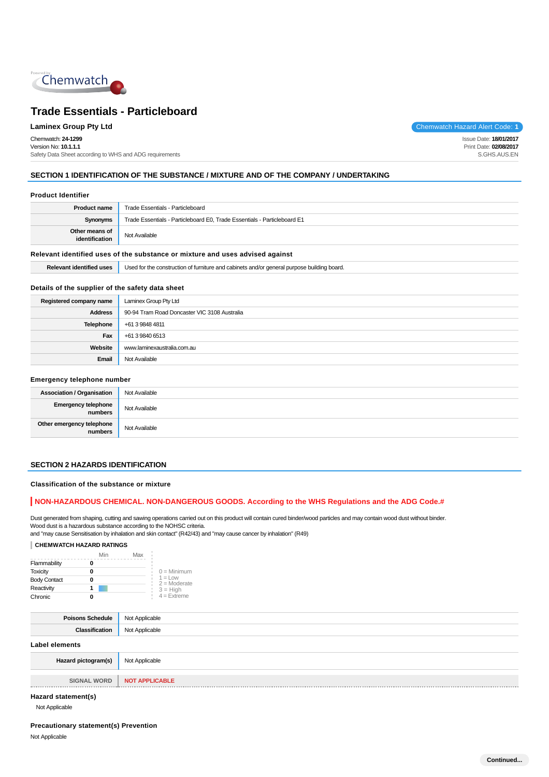

Chemwatch: **24-1299** Version No: **10.1.1.1** Safety Data Sheet according to WHS and ADG requirements

**Laminex Group Pty Ltd Chemwatch Hazard Alert Code: 1** 

Issue Date: **18/01/2017** Print Date: **02/08/2017** S.GHS.AUS.EN

# **SECTION 1 IDENTIFICATION OF THE SUBSTANCE / MIXTURE AND OF THE COMPANY / UNDERTAKING**

#### **Product Identifier**

| <b>Product name</b>                                                           | Trade Essentials - Particleboard                                         |
|-------------------------------------------------------------------------------|--------------------------------------------------------------------------|
| Synonyms                                                                      | Trade Essentials - Particleboard E0, Trade Essentials - Particleboard E1 |
| Other means of<br>identification                                              | Not Available                                                            |
| Relevant identified uses of the substance or mixture and uses advised against |                                                                          |

|  | <b>Relevant identified uses</b> Used for the construction of furniture and cabinets and/or general purpose building board. |
|--|----------------------------------------------------------------------------------------------------------------------------|
|--|----------------------------------------------------------------------------------------------------------------------------|

# **Details of the supplier of the safety data sheet**

| Registered company name | Laminex Group Pty Ltd                        |
|-------------------------|----------------------------------------------|
| <b>Address</b>          | 90-94 Tram Road Doncaster VIC 3108 Australia |
| <b>Telephone</b>        | +61 3 9848 4811                              |
| Fax                     | +61 3 9840 6513                              |
| Website                 | www.laminexaustralia.com.au                  |
| Email                   | Not Available                                |

#### **Emergency telephone number**

| <b>Association / Organisation</b>    | Not Available |
|--------------------------------------|---------------|
| Emergency telephone<br>numbers       | Not Available |
| Other emergency telephone<br>numbers | Not Available |

# **SECTION 2 HAZARDS IDENTIFICATION**

**Classification of the substance or mixture**

#### **NON-HAZARDOUS CHEMICAL. NON-DANGEROUS GOODS. According to the WHS Regulations and the ADG Code.#**

Dust generated from shaping, cutting and sawing operations carried out on this product will contain cured binder/wood particles and may contain wood dust without binder. Wood dust is a hazardous substance according to the NOHSC criteria.

and "may cause Sensitisation by inhalation and skin contact" (R42/43) and "may cause cancer by inhalation" (R49)

#### **CHEMWATCH HAZARD RATINGS**

|                     | Min | Max |                              |
|---------------------|-----|-----|------------------------------|
| Flammability        |     |     |                              |
| <b>Toxicity</b>     |     |     | $0 =$ Minimum                |
| <b>Body Contact</b> |     |     | $1 = 1$ OW<br>$2 =$ Moderate |
| Reactivity          |     |     | $3 = High$                   |
| Chronic             |     |     | $4$ = Extreme                |

| <b>Poisons Schedule</b> | Not Applicable |
|-------------------------|----------------|
| Classification          | Not Applicable |
| Label elements          |                |

| Hazard pictogram(s) | Not Applicable               |
|---------------------|------------------------------|
|                     | SIGNAL WORD   NOT APPLICABLE |
| $\mu_{\text{quad}}$ |                              |

# **Hazard statement(s)**

Not Applicable

# **Precautionary statement(s) Prevention**

Not Applicable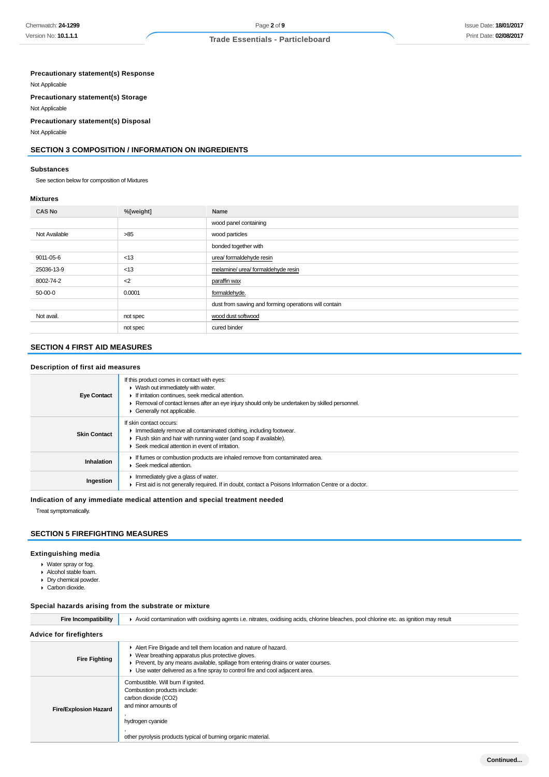## **Precautionary statement(s) Response**

Not Applicable

**Precautionary statement(s) Storage**

Not Applicable

#### **Precautionary statement(s) Disposal**

Not Applicable

# **SECTION 3 COMPOSITION / INFORMATION ON INGREDIENTS**

#### **Substances**

See section below for composition of Mixtures

#### **Mixtures**

| <b>CAS No</b> | %[weight] | Name                                                 |
|---------------|-----------|------------------------------------------------------|
|               |           | wood panel containing                                |
| Not Available | >85       | wood particles                                       |
|               |           | bonded together with                                 |
| 9011-05-6     | < 13      | urea/ formaldehyde resin                             |
| 25036-13-9    | < 13      | melamine/ urea/ formaldehyde resin                   |
| 8002-74-2     | $2$       | paraffin wax                                         |
| 50-00-0       | 0.0001    | formaldehyde.                                        |
|               |           | dust from sawing and forming operations will contain |
| Not avail.    | not spec  | wood dust softwood                                   |
|               | not spec  | cured binder                                         |

# **SECTION 4 FIRST AID MEASURES**

#### **Description of first aid measures**

| <b>Eye Contact</b>  | If this product comes in contact with eyes:<br>$\blacktriangleright$ Wash out immediately with water.<br>If irritation continues, seek medical attention.<br>Removal of contact lenses after an eye injury should only be undertaken by skilled personnel.<br>Generally not applicable. |
|---------------------|-----------------------------------------------------------------------------------------------------------------------------------------------------------------------------------------------------------------------------------------------------------------------------------------|
| <b>Skin Contact</b> | If skin contact occurs:<br>Immediately remove all contaminated clothing, including footwear.<br>Flush skin and hair with running water (and soap if available).<br>Seek medical attention in event of irritation.                                                                       |
| Inhalation          | If fumes or combustion products are inhaled remove from contaminated area.<br>Seek medical attention.                                                                                                                                                                                   |
| Ingestion           | Immediately give a glass of water.<br>First aid is not generally required. If in doubt, contact a Poisons Information Centre or a doctor.                                                                                                                                               |

## **Indication of any immediate medical attention and special treatment needed**

Treat symptomatically.

# **SECTION 5 FIREFIGHTING MEASURES**

#### **Extinguishing media**

- Water spray or fog.
- Alcohol stable foam.
- Dry chemical powder.
- Carbon dioxide.

#### **Special hazards arising from the substrate or mixture**

| <b>Fire Incompatibility</b>    | ► Avoid contamination with oxidising agents i.e. nitrates, oxidising acids, chlorine bleaches, pool chlorine etc. as ignition may result                                                                                                                                                   |  |  |
|--------------------------------|--------------------------------------------------------------------------------------------------------------------------------------------------------------------------------------------------------------------------------------------------------------------------------------------|--|--|
| <b>Advice for firefighters</b> |                                                                                                                                                                                                                                                                                            |  |  |
| <b>Fire Fighting</b>           | Alert Fire Brigade and tell them location and nature of hazard.<br>• Wear breathing apparatus plus protective gloves.<br>Prevent, by any means available, spillage from entering drains or water courses.<br>► Use water delivered as a fine spray to control fire and cool adjacent area. |  |  |
| <b>Fire/Explosion Hazard</b>   | Combustible. Will burn if ignited.<br>Combustion products include:<br>carbon dioxide (CO2)<br>and minor amounts of<br>hydrogen cyanide<br>other pyrolysis products typical of burning organic material.                                                                                    |  |  |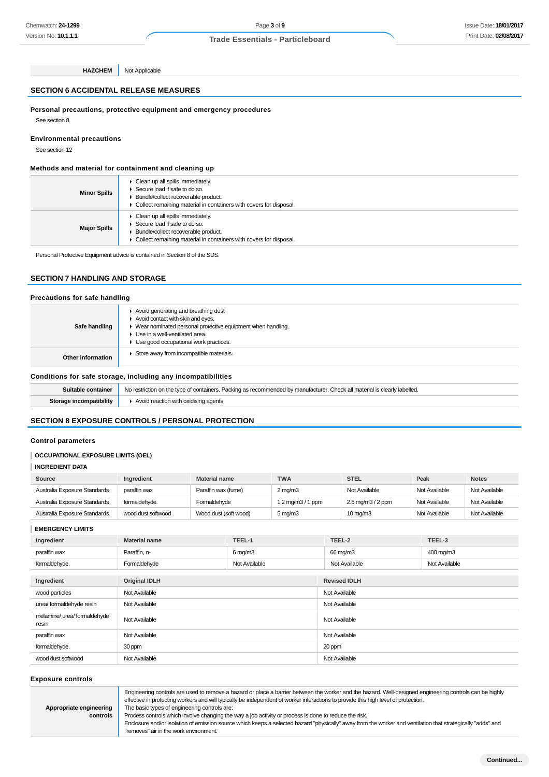# **SECTION 6 ACCIDENTAL RELEASE MEASURES**

**HAZCHEM** Not Applicable

**Personal precautions, protective equipment and emergency procedures**

See section 8

#### **Environmental precautions**

See section 12

#### **Methods and material for containment and cleaning up**

| <b>Minor Spills</b> | Clean up all spills immediately.<br>Secure load if safe to do so.<br>> Bundle/collect recoverable product.<br>• Collect remaining material in containers with covers for disposal. |
|---------------------|------------------------------------------------------------------------------------------------------------------------------------------------------------------------------------|
| <b>Major Spills</b> | Clean up all spills immediately.<br>Secure load if safe to do so.<br>Bundle/collect recoverable product.<br>• Collect remaining material in containers with covers for disposal.   |

Personal Protective Equipment advice is contained in Section 8 of the SDS.

# **SECTION 7 HANDLING AND STORAGE**

#### **Precautions for safe handling**

| Safe handling                                                | Avoid generating and breathing dust<br>Avoid contact with skin and eyes.<br>▶ Wear nominated personal protective equipment when handling.<br>Use in a well-ventilated area.<br>Use good occupational work practices. |
|--------------------------------------------------------------|----------------------------------------------------------------------------------------------------------------------------------------------------------------------------------------------------------------------|
| Other information                                            | Store away from incompatible materials.                                                                                                                                                                              |
| Conditions for safe storage, including any incompatibilities |                                                                                                                                                                                                                      |
| Outtable against and                                         | . Ma sentidate se de características. Declina es accessoria de los menofentoses. Obestrali menofetto de elemental                                                                                                    |

| Suitable container      | No restriction on the type of containers. Packing as recommended by manufacturer. Check all material is clearly labelled. |
|-------------------------|---------------------------------------------------------------------------------------------------------------------------|
| Storage incompatibility | $\blacktriangleright$ Avoid reaction with oxidising agents                                                                |

# **SECTION 8 EXPOSURE CONTROLS / PERSONAL PROTECTION**

#### **Control parameters**

#### **OCCUPATIONAL EXPOSURE LIMITS (OEL)**

#### **INGREDIENT DATA**

| Source                       | Ingredient         | <b>Material name</b>  | <b>TWA</b>          | <b>STEL</b>                                | Peak          | <b>Notes</b>  |
|------------------------------|--------------------|-----------------------|---------------------|--------------------------------------------|---------------|---------------|
| Australia Exposure Standards | paraffin wax       | Paraffin wax (fume)   | $2 \text{mq/m}$ 3   | Not Available                              | Not Available | Not Available |
| Australia Exposure Standards | formaldehyde.      | Formaldehyde          | 1.2 mg/m $3/1$ ppm  | $2.5 \,\mathrm{mg/m}$ $3/2 \,\mathrm{ppm}$ | Not Available | Not Available |
| Australia Exposure Standards | wood dust softwood | Wood dust (soft wood) | $5 \,\mathrm{mq/m}$ | $10 \text{ mg/m}$                          | Not Available | Not Available |

**EMERGENCY LIMITS**

| Ingredient                            | <b>Material name</b> | TEEL-1               | TEEL-2              | TEEL-3        |  |
|---------------------------------------|----------------------|----------------------|---------------------|---------------|--|
| paraffin wax                          | Paraffin, n-         | $6 \,\mathrm{mq/m3}$ | 66 mg/m3            | 400 mg/m3     |  |
| formaldehyde.                         | Formaldehyde         | Not Available        | Not Available       | Not Available |  |
|                                       |                      |                      |                     |               |  |
| Ingredient                            | <b>Original IDLH</b> |                      | <b>Revised IDLH</b> |               |  |
| wood particles                        | Not Available        |                      | Not Available       |               |  |
| urea/ formaldehyde resin              | Not Available        |                      | Not Available       |               |  |
| melamine/ urea/ formaldehyde<br>resin | Not Available        |                      | Not Available       |               |  |
| paraffin wax                          | Not Available        |                      | Not Available       |               |  |
| formaldehyde.                         | 30 ppm               |                      | 20 ppm              |               |  |
| wood dust softwood                    | Not Available        |                      | Not Available       |               |  |

#### **Exposure controls**

**Appropriate engineering**

**controls**

Engineering controls are used to remove a hazard or place a barrier between the worker and the hazard. Well-designed engineering controls can be highly effective in protecting workers and will typically be independent of worker interactions to provide this high level of protection. The basic types of engineering controls are:

Process controls which involve changing the way a job activity or process is done to reduce the risk.

Enclosure and/or isolation of emission source which keeps a selected hazard "physically" away from the worker and ventilation that strategically "adds" and "removes" air in the work environment.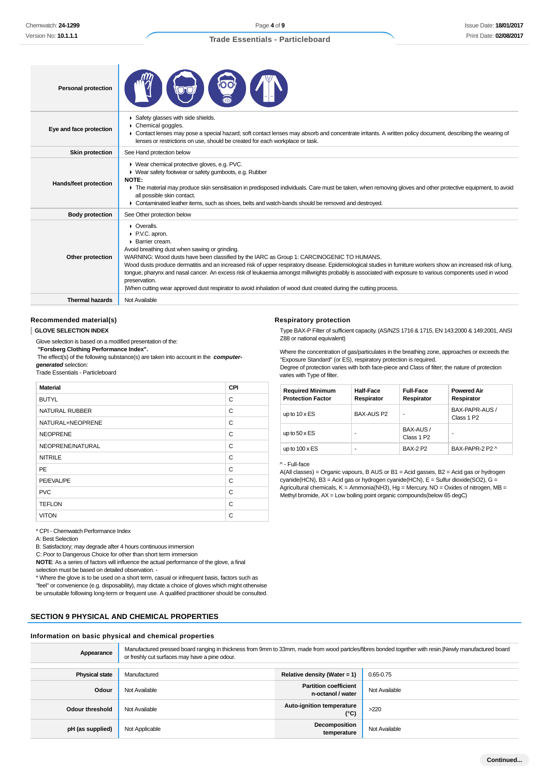| <b>Personal protection</b> |                                                                                                                                                                                                                                                                                                                                                                                                                                                                                                                                                                                                                                                                  |
|----------------------------|------------------------------------------------------------------------------------------------------------------------------------------------------------------------------------------------------------------------------------------------------------------------------------------------------------------------------------------------------------------------------------------------------------------------------------------------------------------------------------------------------------------------------------------------------------------------------------------------------------------------------------------------------------------|
| Eye and face protection    | Safety glasses with side shields.<br>Chemical goggles.<br>▶ Contact lenses may pose a special hazard; soft contact lenses may absorb and concentrate irritants. A written policy document, describing the wearing of<br>lenses or restrictions on use, should be created for each workplace or task.                                                                                                                                                                                                                                                                                                                                                             |
| Skin protection            | See Hand protection below                                                                                                                                                                                                                                                                                                                                                                                                                                                                                                                                                                                                                                        |
| Hands/feet protection      | ▶ Wear chemical protective gloves, e.g. PVC.<br>• Wear safety footwear or safety gumboots, e.g. Rubber<br><b>NOTE:</b><br>The material may produce skin sensitisation in predisposed individuals. Care must be taken, when removing gloves and other protective equipment, to avoid<br>all possible skin contact.<br>• Contaminated leather items, such as shoes, belts and watch-bands should be removed and destroyed.                                                                                                                                                                                                                                         |
| <b>Body protection</b>     | See Other protection below                                                                                                                                                                                                                                                                                                                                                                                                                                                                                                                                                                                                                                       |
| Other protection           | • Overalls.<br>P.V.C. apron.<br>▶ Barrier cream.<br>Avoid breathing dust when sawing or grinding.<br>WARNING: Wood dusts have been classified by the IARC as Group 1: CARCINOGENIC TO HUMANS.<br>Wood dusts produce dermatitis and an increased risk of upper respiratory disease. Epidemiological studies in furniture workers show an increased risk of lung,<br>tonque, pharynx and nasal cancer. An excess risk of leukaemia amongst millwrights probably is associated with exposure to various components used in wood<br>preservation.<br>When cutting wear approved dust respirator to avoid inhalation of wood dust created during the cutting process. |
| <b>Thermal hazards</b>     | Not Available                                                                                                                                                                                                                                                                                                                                                                                                                                                                                                                                                                                                                                                    |

#### **Recommended material(s)**

#### **GLOVE SELECTION INDEX**

Glove selection is based on a modified presentation of the:

 **"Forsberg Clothing Performance Index".**

 The effect(s) of the following substance(s) are taken into account in the **computergenerated** selection:

Trade Essentials - Particleboard

| <b>Material</b>       | CPI |
|-----------------------|-----|
| <b>BUTYL</b>          | C   |
| <b>NATURAL RUBBER</b> | C   |
| NATURAL+NEOPRENE      | C   |
| <b>NEOPRENE</b>       | C   |
| NEOPRENE/NATURAL      | C   |
| <b>NITRILE</b>        | C   |
| <b>PE</b>             | C   |
| PE/EVAL/PE            | C   |
| <b>PVC</b>            | C   |
| <b>TEFLON</b>         | C   |
| <b>VITON</b>          | C   |

\* CPI - Chemwatch Performance Index

A: Best Selection

B: Satisfactory; may degrade after 4 hours continuous immersion

C: Poor to Dangerous Choice for other than short term immersion

**NOTE**: As a series of factors will influence the actual performance of the glove, a final selection must be based on detailed observation. -

\* Where the glove is to be used on a short term, casual or infrequent basis, factors such as "feel" or convenience (e.g. disposability), may dictate a choice of gloves which might otherwise be unsuitable following long-term or frequent use. A qualified practitioner should be consulted.

#### **SECTION 9 PHYSICAL AND CHEMICAL PROPERTIES**

#### **Information on basic physical and chemical properties**

| Appearance            | Manufactured pressed board ranging in thickness from 9mm to 33mm, made from wood partcles/fibres bonded together with resin. Newly manufactured board<br>or freshly cut surfaces may have a pine odour. |                                                   |               |
|-----------------------|---------------------------------------------------------------------------------------------------------------------------------------------------------------------------------------------------------|---------------------------------------------------|---------------|
|                       |                                                                                                                                                                                                         |                                                   |               |
| <b>Physical state</b> | Manufactured                                                                                                                                                                                            | Relative density (Water = $1$ )                   | $0.65 - 0.75$ |
| Odour                 | Not Available                                                                                                                                                                                           | <b>Partition coefficient</b><br>n-octanol / water | Not Available |
| Odour threshold       | Not Available                                                                                                                                                                                           | Auto-ignition temperature<br>(°C)                 | >220          |
| pH (as supplied)      | Not Applicable                                                                                                                                                                                          | Decomposition<br>temperature                      | Not Available |

**Respiratory protection**

Type BAX-P Filter of sufficient capacity. (AS/NZS 1716 & 1715, EN 143:2000 & 149:2001, ANSI Z88 or national equivalent)

Where the concentration of gas/particulates in the breathing zone, approaches or exceeds the "Exposure Standard" (or ES), respiratory protection is required. Degree of protection varies with both face-piece and Class of filter; the nature of protection varies with Type of filter.

| <b>Required Minimum</b><br><b>Protection Factor</b> | <b>Half-Face</b><br>Respirator | <b>Full-Face</b><br>Respirator      | <b>Powered Air</b><br>Respirator         |
|-----------------------------------------------------|--------------------------------|-------------------------------------|------------------------------------------|
| up to $10 \times ES$                                | <b>BAX-AUS P2</b>              | ۰                                   | BAX-PAPR-AUS /<br>Class 1 P <sub>2</sub> |
| up to $50 \times ES$                                | ۰                              | BAX-AUS /<br>Class 1 P <sub>2</sub> | ٠                                        |
| up to $100 \times ES$                               | ۰                              | <b>BAX-2 P2</b>                     | BAX-PAPR-2 P2 ^                          |

^ - Full-face

A(All classes) = Organic vapours, B AUS or B1 = Acid gasses, B2 = Acid gas or hydrogen cyanide(HCN), B3 = Acid gas or hydrogen cyanide(HCN), E = Sulfur dioxide(SO2), G = Agricultural chemicals,  $K =$  Ammonia(NH3), Hg = Mercury, NO = Oxides of nitrogen, MB = Methyl bromide, AX = Low boiling point organic compounds(below 65 degC)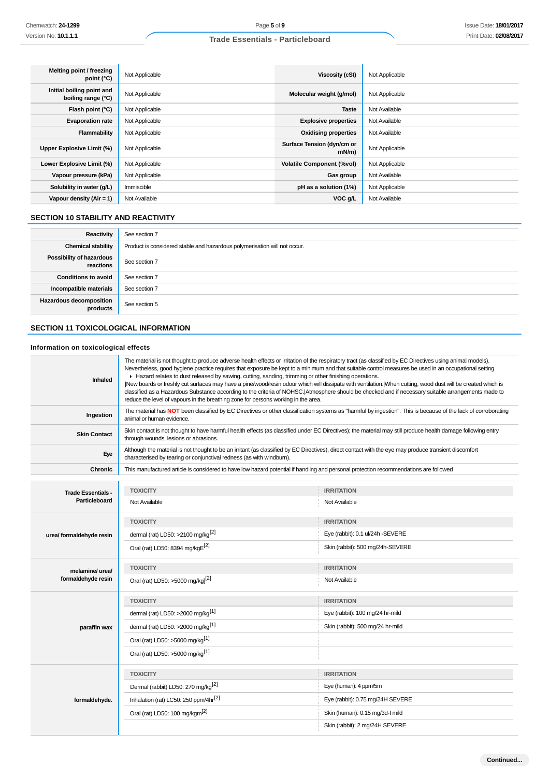| Melting point / freezing<br>point (°C)          | Not Applicable | Viscosity (cSt)                        | Not Applicable |
|-------------------------------------------------|----------------|----------------------------------------|----------------|
| Initial boiling point and<br>boiling range (°C) | Not Applicable | Molecular weight (g/mol)               | Not Applicable |
| Flash point (°C)                                | Not Applicable | <b>Taste</b>                           | Not Available  |
| <b>Evaporation rate</b>                         | Not Applicable | <b>Explosive properties</b>            | Not Available  |
| Flammability                                    | Not Applicable | <b>Oxidising properties</b>            | Not Available  |
| Upper Explosive Limit (%)                       | Not Applicable | Surface Tension (dyn/cm or<br>$mN/m$ ) | Not Applicable |
| Lower Explosive Limit (%)                       | Not Applicable | <b>Volatile Component (%vol)</b>       | Not Applicable |
| Vapour pressure (kPa)                           | Not Applicable | Gas group                              | Not Available  |
| Solubility in water (g/L)                       | Immiscible     | pH as a solution (1%)                  | Not Applicable |
| Vapour density (Air = 1)                        | Not Available  | VOC g/L                                | Not Available  |

# **SECTION 10 STABILITY AND REACTIVITY**

| Reactivity                                 | See section 7                                                             |
|--------------------------------------------|---------------------------------------------------------------------------|
| <b>Chemical stability</b>                  | Product is considered stable and hazardous polymerisation will not occur. |
| Possibility of hazardous<br>reactions      | See section 7                                                             |
| <b>Conditions to avoid</b>                 | See section 7                                                             |
| Incompatible materials                     | See section 7                                                             |
| <b>Hazardous decomposition</b><br>products | See section 5                                                             |

# **SECTION 11 TOXICOLOGICAL INFORMATION**

# **Information on toxicological effects**

| Inhaled                                    | The material is not thought to produce adverse health effects or irritation of the respiratory tract (as classified by EC Directives using animal models).<br>Nevertheless, good hygiene practice requires that exposure be kept to a minimum and that suitable control measures be used in an occupational setting.<br>► Hazard relates to dust released by sawing, cutting, sanding, trimming or other finishing operations.<br>New boards or freshly cut surfaces may have a pine/wood/resin odour which will dissipate with ventilation. When cutting, wood dust will be created which is<br>classified as a Hazardous Substance according to the criteria of NOHSC. Atmosphere should be checked and if necessary suitable arrangements made to<br>reduce the level of vapours in the breathing zone for persons working in the area. |                                    |
|--------------------------------------------|--------------------------------------------------------------------------------------------------------------------------------------------------------------------------------------------------------------------------------------------------------------------------------------------------------------------------------------------------------------------------------------------------------------------------------------------------------------------------------------------------------------------------------------------------------------------------------------------------------------------------------------------------------------------------------------------------------------------------------------------------------------------------------------------------------------------------------------------|------------------------------------|
| Ingestion                                  | The material has NOT been classified by EC Directives or other classification systems as "harmful by ingestion". This is because of the lack of corroborating<br>animal or human evidence.                                                                                                                                                                                                                                                                                                                                                                                                                                                                                                                                                                                                                                                 |                                    |
| <b>Skin Contact</b>                        | Skin contact is not thought to have harmful health effects (as classified under EC Directives); the material may still produce health damage following entry<br>through wounds, lesions or abrasions.                                                                                                                                                                                                                                                                                                                                                                                                                                                                                                                                                                                                                                      |                                    |
| Eye                                        | Although the material is not thought to be an irritant (as classified by EC Directives), direct contact with the eye may produce transient discomfort<br>characterised by tearing or conjunctival redness (as with windburn).                                                                                                                                                                                                                                                                                                                                                                                                                                                                                                                                                                                                              |                                    |
| <b>Chronic</b>                             | This manufactured article is considered to have low hazard potential if handling and personal protection recommendations are followed                                                                                                                                                                                                                                                                                                                                                                                                                                                                                                                                                                                                                                                                                                      |                                    |
| <b>Trade Essentials -</b><br>Particleboard | <b>TOXICITY</b><br>Not Available                                                                                                                                                                                                                                                                                                                                                                                                                                                                                                                                                                                                                                                                                                                                                                                                           | <b>IRRITATION</b><br>Not Available |
|                                            | <b>TOXICITY</b>                                                                                                                                                                                                                                                                                                                                                                                                                                                                                                                                                                                                                                                                                                                                                                                                                            | <b>IRRITATION</b>                  |
| urea/ formaldehyde resin                   | dermal (rat) LD50: >2100 mg/kg $^{[2]}$                                                                                                                                                                                                                                                                                                                                                                                                                                                                                                                                                                                                                                                                                                                                                                                                    | Eye (rabbit): 0.1 ul/24h -SEVERE   |
|                                            | Oral (rat) LD50: 8394 mg/kgE <sup>[2]</sup>                                                                                                                                                                                                                                                                                                                                                                                                                                                                                                                                                                                                                                                                                                                                                                                                | Skin (rabbit): 500 mg/24h-SEVERE   |
| melamine/ urea/                            | <b>TOXICITY</b>                                                                                                                                                                                                                                                                                                                                                                                                                                                                                                                                                                                                                                                                                                                                                                                                                            | <b>IRRITATION</b>                  |
| formaldehyde resin                         | Oral (rat) LD50: >5000 mg/kg <sup>[2]</sup>                                                                                                                                                                                                                                                                                                                                                                                                                                                                                                                                                                                                                                                                                                                                                                                                | Not Available                      |
|                                            | <b>TOXICITY</b>                                                                                                                                                                                                                                                                                                                                                                                                                                                                                                                                                                                                                                                                                                                                                                                                                            | <b>IRRITATION</b>                  |
|                                            | dermal (rat) LD50: >2000 mg/kg <sup>[1]</sup>                                                                                                                                                                                                                                                                                                                                                                                                                                                                                                                                                                                                                                                                                                                                                                                              | Eye (rabbit): 100 mg/24 hr-mild    |
| paraffin wax                               | dermal (rat) LD50: >2000 mg/kg <sup>[1]</sup>                                                                                                                                                                                                                                                                                                                                                                                                                                                                                                                                                                                                                                                                                                                                                                                              | Skin (rabbit): 500 mg/24 hr-mild   |
|                                            | Oral (rat) LD50: >5000 mg/kg <sup>[1]</sup>                                                                                                                                                                                                                                                                                                                                                                                                                                                                                                                                                                                                                                                                                                                                                                                                |                                    |
|                                            | Oral (rat) LD50: >5000 mg/kg <sup>[1]</sup>                                                                                                                                                                                                                                                                                                                                                                                                                                                                                                                                                                                                                                                                                                                                                                                                |                                    |
|                                            | <b>TOXICITY</b>                                                                                                                                                                                                                                                                                                                                                                                                                                                                                                                                                                                                                                                                                                                                                                                                                            | <b>IRRITATION</b>                  |
|                                            | Dermal (rabbit) LD50: 270 mg/kg <sup>[2]</sup>                                                                                                                                                                                                                                                                                                                                                                                                                                                                                                                                                                                                                                                                                                                                                                                             | Eye (human): 4 ppm/5m              |
| formaldehyde.                              | Inhalation (rat) LC50: 250 ppm/4hr <sup>[2]</sup>                                                                                                                                                                                                                                                                                                                                                                                                                                                                                                                                                                                                                                                                                                                                                                                          | Eye (rabbit): 0.75 mg/24H SEVERE   |
|                                            | Oral (rat) LD50: 100 mg/kgm <sup>[2]</sup>                                                                                                                                                                                                                                                                                                                                                                                                                                                                                                                                                                                                                                                                                                                                                                                                 | Skin (human): 0.15 mg/3d-l mild    |
|                                            |                                                                                                                                                                                                                                                                                                                                                                                                                                                                                                                                                                                                                                                                                                                                                                                                                                            | Skin (rabbit): 2 mg/24H SEVERE     |

**Continued...**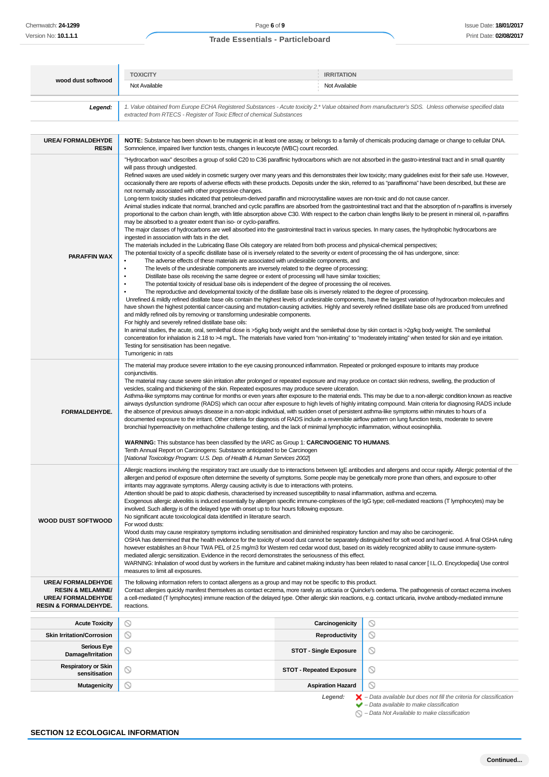| wood dust softwood<br>Legend:<br><b>UREA/FORMALDEHYDE</b><br><b>RESIN</b><br><b>PARAFFIN WAX</b><br>٠                    | <b>TOXICITY</b><br>Not Available<br>extracted from RTECS - Register of Toxic Effect of chemical Substances<br>Somnolence, impaired liver function tests, changes in leucocyte (WBC) count recorded.                                                                                                                                                                                                                                                                                                                                                                                                                                                                                                                                                                                                                                                                                                                                                                                                                                                                                                                                                                                                                                                                                                                                                                                                                                                                                                                                                                                                                                                                                                                                                                                                                                                                                                                                                                                                                                                                                                                                                                                                                                                                                                                                                                                                                                                                                                                                                                                                                                                                                                                                                                                                                                                                                                                                                                                                                                                                      | Not Available                   | 1. Value obtained from Europe ECHA Registered Substances - Acute toxicity 2.* Value obtained from manufacturer's SDS. Unless otherwise specified data<br>NOTE: Substance has been shown to be mutagenic in at least one assay, or belongs to a family of chemicals producing damage or change to cellular DNA.             |  |  |
|--------------------------------------------------------------------------------------------------------------------------|--------------------------------------------------------------------------------------------------------------------------------------------------------------------------------------------------------------------------------------------------------------------------------------------------------------------------------------------------------------------------------------------------------------------------------------------------------------------------------------------------------------------------------------------------------------------------------------------------------------------------------------------------------------------------------------------------------------------------------------------------------------------------------------------------------------------------------------------------------------------------------------------------------------------------------------------------------------------------------------------------------------------------------------------------------------------------------------------------------------------------------------------------------------------------------------------------------------------------------------------------------------------------------------------------------------------------------------------------------------------------------------------------------------------------------------------------------------------------------------------------------------------------------------------------------------------------------------------------------------------------------------------------------------------------------------------------------------------------------------------------------------------------------------------------------------------------------------------------------------------------------------------------------------------------------------------------------------------------------------------------------------------------------------------------------------------------------------------------------------------------------------------------------------------------------------------------------------------------------------------------------------------------------------------------------------------------------------------------------------------------------------------------------------------------------------------------------------------------------------------------------------------------------------------------------------------------------------------------------------------------------------------------------------------------------------------------------------------------------------------------------------------------------------------------------------------------------------------------------------------------------------------------------------------------------------------------------------------------------------------------------------------------------------------------------------------------|---------------------------------|----------------------------------------------------------------------------------------------------------------------------------------------------------------------------------------------------------------------------------------------------------------------------------------------------------------------------|--|--|
|                                                                                                                          |                                                                                                                                                                                                                                                                                                                                                                                                                                                                                                                                                                                                                                                                                                                                                                                                                                                                                                                                                                                                                                                                                                                                                                                                                                                                                                                                                                                                                                                                                                                                                                                                                                                                                                                                                                                                                                                                                                                                                                                                                                                                                                                                                                                                                                                                                                                                                                                                                                                                                                                                                                                                                                                                                                                                                                                                                                                                                                                                                                                                                                                                          |                                 |                                                                                                                                                                                                                                                                                                                            |  |  |
|                                                                                                                          |                                                                                                                                                                                                                                                                                                                                                                                                                                                                                                                                                                                                                                                                                                                                                                                                                                                                                                                                                                                                                                                                                                                                                                                                                                                                                                                                                                                                                                                                                                                                                                                                                                                                                                                                                                                                                                                                                                                                                                                                                                                                                                                                                                                                                                                                                                                                                                                                                                                                                                                                                                                                                                                                                                                                                                                                                                                                                                                                                                                                                                                                          |                                 |                                                                                                                                                                                                                                                                                                                            |  |  |
|                                                                                                                          |                                                                                                                                                                                                                                                                                                                                                                                                                                                                                                                                                                                                                                                                                                                                                                                                                                                                                                                                                                                                                                                                                                                                                                                                                                                                                                                                                                                                                                                                                                                                                                                                                                                                                                                                                                                                                                                                                                                                                                                                                                                                                                                                                                                                                                                                                                                                                                                                                                                                                                                                                                                                                                                                                                                                                                                                                                                                                                                                                                                                                                                                          |                                 |                                                                                                                                                                                                                                                                                                                            |  |  |
| ٠                                                                                                                        | "Hydrocarbon wax" describes a group of solid C20 to C36 paraffinic hydrocarbons which are not absorbed in the gastro-intestinal tract and in small quantity<br>will pass through undigested.<br>Refined waxes are used widely in cosmetic surgery over many years and this demonstrates their low toxicity; many quidelines exist for their safe use. However,<br>occasionally there are reports of adverse effects with these products. Deposits under the skin, referred to as "paraffinoma" have been described, but these are<br>not normally associated with other progressive changes.<br>Long-term toxicity studies indicated that petroleum-derived paraffin and microcrystalline waxes are non-toxic and do not cause cancer.<br>Animal studies indicate that normal, branched and cyclic paraffins are absorbed from the gastrointestinal tract and that the absorption of n-paraffins is inversely<br>proportional to the carbon chain length, with little absorption above C30. With respect to the carbon chain lengths likely to be present in mineral oil, n-paraffins<br>may be absorbed to a greater extent than iso- or cyclo-paraffins.<br>The major classes of hydrocarbons are well absorbed into the gastrointestinal tract in various species. In many cases, the hydrophobic hydrocarbons are<br>ingested in association with fats in the diet.<br>The materials included in the Lubricating Base Oils category are related from both process and physical-chemical perspectives;<br>The potential toxicity of a specific distillate base oil is inversely related to the severity or extent of processing the oil has undergone, since:<br>The adverse effects of these materials are associated with undesirable components, and<br>The levels of the undesirable components are inversely related to the degree of processing;<br>Distillate base oils receiving the same degree or extent of processing will have similar toxicities;<br>The potential toxicity of residual base oils is independent of the degree of processing the oil receives.<br>The reproductive and developmental toxicity of the distillate base oils is inversely related to the degree of processing.<br>Unrefined & mildly refined distillate base oils contain the highest levels of undesirable components, have the largest variation of hydrocarbon molecules and<br>have shown the highest potential cancer-causing and mutation-causing activities. Highly and severely refined distillate base oils are produced from unrefined<br>and mildly refined oils by removing or transforming undesirable components.<br>For highly and severely refined distillate base oils:<br>In animal studies, the acute, oral, semilethal dose is >5g/kg body weight and the semilethal dose by skin contact is >2g/kg body weight. The semilethal<br>concentration for inhalation is 2.18 to >4 mg/L. The materials have varied from "non-irritating" to "moderately irritating" when tested for skin and eye irritation.<br>Testing for sensitisation has been negative. |                                 |                                                                                                                                                                                                                                                                                                                            |  |  |
| FORMALDEHYDE.                                                                                                            | Tumorigenic in rats<br>The material may produce severe irritation to the eye causing pronounced inflammation. Repeated or prolonged exposure to irritants may produce<br>conjunctivitis.<br>The material may cause severe skin irritation after prolonged or repeated exposure and may produce on contact skin redness, swelling, the production of<br>vesicles, scaling and thickening of the skin. Repeated exposures may produce severe ulceration.<br>Asthma-like symptoms may continue for months or even years after exposure to the material ends. This may be due to a non-allergic condition known as reactive<br>airways dysfunction syndrome (RADS) which can occur after exposure to high levels of highly irritating compound. Main criteria for diagnosing RADS include<br>the absence of previous airways disease in a non-atopic individual, with sudden onset of persistent asthma-like symptoms within minutes to hours of a<br>documented exposure to the irritant. Other criteria for diagnosis of RADS include a reversible airflow pattern on lung function tests, moderate to severe<br>bronchial hyperreactivity on methacholine challenge testing, and the lack of minimal lymphocytic inflammation, without eosinophilia.                                                                                                                                                                                                                                                                                                                                                                                                                                                                                                                                                                                                                                                                                                                                                                                                                                                                                                                                                                                                                                                                                                                                                                                                                                                                                                                                                                                                                                                                                                                                                                                                                                                                                                                                                                                                                      |                                 |                                                                                                                                                                                                                                                                                                                            |  |  |
|                                                                                                                          | <b>WARNING:</b> This substance has been classified by the IARC as Group 1: <b>CARCINOGENIC TO HUMANS</b> .<br>Tenth Annual Report on Carcinogens: Substance anticipated to be Carcinogen<br>[National Toxicology Program: U.S. Dep. of Health & Human Services 2002]                                                                                                                                                                                                                                                                                                                                                                                                                                                                                                                                                                                                                                                                                                                                                                                                                                                                                                                                                                                                                                                                                                                                                                                                                                                                                                                                                                                                                                                                                                                                                                                                                                                                                                                                                                                                                                                                                                                                                                                                                                                                                                                                                                                                                                                                                                                                                                                                                                                                                                                                                                                                                                                                                                                                                                                                     |                                 |                                                                                                                                                                                                                                                                                                                            |  |  |
| <b>WOOD DUST SOFTWOOD</b>                                                                                                | Allergic reactions involving the respiratory tract are usually due to interactions between IgE antibodies and allergens and occur rapidly. Allergic potential of the<br>allergen and period of exposure often determine the severity of symptoms. Some people may be genetically more prone than others, and exposure to other<br>irritants may aggravate symptoms. Allergy causing activity is due to interactions with proteins.<br>Attention should be paid to atopic diathesis, characterised by increased susceptibility to nasal inflammation, asthma and eczema.<br>Exogenous allergic alveolitis is induced essentially by allergen specific immune-complexes of the IgG type; cell-mediated reactions (T lymphocytes) may be<br>involved. Such allergy is of the delayed type with onset up to four hours following exposure.<br>No significant acute toxicological data identified in literature search.<br>For wood dusts:<br>Wood dusts may cause respiratory symptoms including sensitisation and diminished respiratory function and may also be carcinogenic.<br>OSHA has determined that the health evidence for the toxicity of wood dust cannot be separately distinguished for soft wood and hard wood. A final OSHA ruling<br>however establishes an 8-hour TWA PEL of 2.5 mg/m3 for Western red cedar wood dust, based on its widely recognized ability to cause immune-system-<br>mediated allergic sensitization. Evidence in the record demonstrates the seriousness of this effect.<br>WARNING: Inhalation of wood dust by workers in the furniture and cabinet making industry has been related to nasal cancer [I.L.O. Encyclopedia] Use control<br>measures to limit all exposures.                                                                                                                                                                                                                                                                                                                                                                                                                                                                                                                                                                                                                                                                                                                                                                                                                                                                                                                                                                                                                                                                                                                                                                                                                                                                                                                                                          |                                 |                                                                                                                                                                                                                                                                                                                            |  |  |
| <b>UREA/FORMALDEHYDE</b><br><b>RESIN &amp; MELAMINE/</b><br><b>UREA/FORMALDEHYDE</b><br><b>RESIN &amp; FORMALDEHYDE.</b> | The following information refers to contact allergens as a group and may not be specific to this product.<br>reactions.                                                                                                                                                                                                                                                                                                                                                                                                                                                                                                                                                                                                                                                                                                                                                                                                                                                                                                                                                                                                                                                                                                                                                                                                                                                                                                                                                                                                                                                                                                                                                                                                                                                                                                                                                                                                                                                                                                                                                                                                                                                                                                                                                                                                                                                                                                                                                                                                                                                                                                                                                                                                                                                                                                                                                                                                                                                                                                                                                  |                                 | Contact allergies quickly manifest themselves as contact eczema, more rarely as urticaria or Quincke's oedema. The pathogenesis of contact eczema involves<br>a cell-mediated (T lymphocytes) immune reaction of the delayed type. Other allergic skin reactions, e.g. contact urticaria, involve antibody-mediated immune |  |  |
| $\circledcirc$<br><b>Acute Toxicity</b>                                                                                  |                                                                                                                                                                                                                                                                                                                                                                                                                                                                                                                                                                                                                                                                                                                                                                                                                                                                                                                                                                                                                                                                                                                                                                                                                                                                                                                                                                                                                                                                                                                                                                                                                                                                                                                                                                                                                                                                                                                                                                                                                                                                                                                                                                                                                                                                                                                                                                                                                                                                                                                                                                                                                                                                                                                                                                                                                                                                                                                                                                                                                                                                          | Carcinogenicity                 | O                                                                                                                                                                                                                                                                                                                          |  |  |
| $\circledcirc$<br><b>Skin Irritation/Corrosion</b>                                                                       |                                                                                                                                                                                                                                                                                                                                                                                                                                                                                                                                                                                                                                                                                                                                                                                                                                                                                                                                                                                                                                                                                                                                                                                                                                                                                                                                                                                                                                                                                                                                                                                                                                                                                                                                                                                                                                                                                                                                                                                                                                                                                                                                                                                                                                                                                                                                                                                                                                                                                                                                                                                                                                                                                                                                                                                                                                                                                                                                                                                                                                                                          | <b>Reproductivity</b>           | $\circ$                                                                                                                                                                                                                                                                                                                    |  |  |
| <b>Serious Eye</b><br>∾<br>Damage/Irritation                                                                             |                                                                                                                                                                                                                                                                                                                                                                                                                                                                                                                                                                                                                                                                                                                                                                                                                                                                                                                                                                                                                                                                                                                                                                                                                                                                                                                                                                                                                                                                                                                                                                                                                                                                                                                                                                                                                                                                                                                                                                                                                                                                                                                                                                                                                                                                                                                                                                                                                                                                                                                                                                                                                                                                                                                                                                                                                                                                                                                                                                                                                                                                          | <b>STOT - Single Exposure</b>   | $\circledcirc$                                                                                                                                                                                                                                                                                                             |  |  |
| <b>Respiratory or Skin</b><br>$\circlearrowright$<br>sensitisation                                                       |                                                                                                                                                                                                                                                                                                                                                                                                                                                                                                                                                                                                                                                                                                                                                                                                                                                                                                                                                                                                                                                                                                                                                                                                                                                                                                                                                                                                                                                                                                                                                                                                                                                                                                                                                                                                                                                                                                                                                                                                                                                                                                                                                                                                                                                                                                                                                                                                                                                                                                                                                                                                                                                                                                                                                                                                                                                                                                                                                                                                                                                                          | <b>STOT - Repeated Exposure</b> | $\circledcirc$                                                                                                                                                                                                                                                                                                             |  |  |
| ◎<br><b>Mutagenicity</b>                                                                                                 |                                                                                                                                                                                                                                                                                                                                                                                                                                                                                                                                                                                                                                                                                                                                                                                                                                                                                                                                                                                                                                                                                                                                                                                                                                                                                                                                                                                                                                                                                                                                                                                                                                                                                                                                                                                                                                                                                                                                                                                                                                                                                                                                                                                                                                                                                                                                                                                                                                                                                                                                                                                                                                                                                                                                                                                                                                                                                                                                                                                                                                                                          | <b>Aspiration Hazard</b>        | $\circledcirc$                                                                                                                                                                                                                                                                                                             |  |  |
|                                                                                                                          |                                                                                                                                                                                                                                                                                                                                                                                                                                                                                                                                                                                                                                                                                                                                                                                                                                                                                                                                                                                                                                                                                                                                                                                                                                                                                                                                                                                                                                                                                                                                                                                                                                                                                                                                                                                                                                                                                                                                                                                                                                                                                                                                                                                                                                                                                                                                                                                                                                                                                                                                                                                                                                                                                                                                                                                                                                                                                                                                                                                                                                                                          | Legend:                         | $\blacktriangleright$ - Data available but does not fill the criteria for classification<br>$\blacktriangleright$ - Data available to make classification                                                                                                                                                                  |  |  |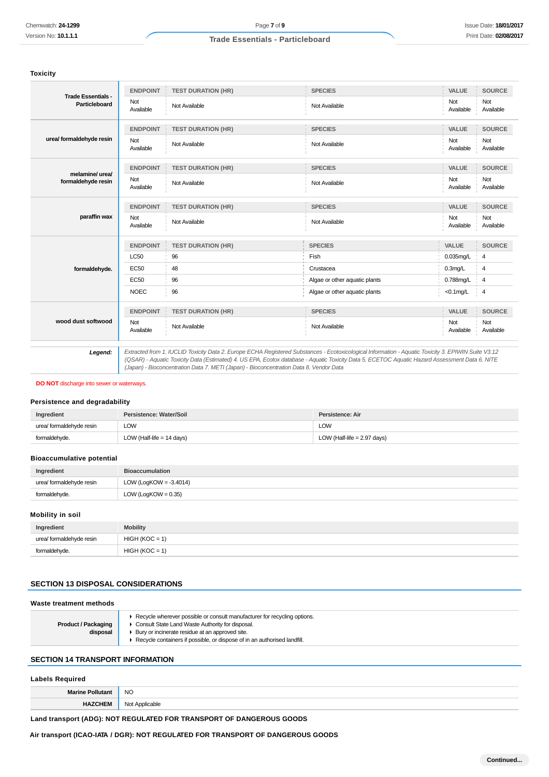## **Toxicity**

|                                            | <b>ENDPOINT</b>  | <b>TEST DURATION (HR)</b>                                                              | <b>SPECIES</b>                                                                                                                                                                                                                                                                                        | <b>VALUE</b>     | <b>SOURCE</b>    |
|--------------------------------------------|------------------|----------------------------------------------------------------------------------------|-------------------------------------------------------------------------------------------------------------------------------------------------------------------------------------------------------------------------------------------------------------------------------------------------------|------------------|------------------|
| <b>Trade Essentials -</b><br>Particleboard | Not<br>Available | Not Available                                                                          | Not Available                                                                                                                                                                                                                                                                                         | Not<br>Available | Not<br>Available |
|                                            | <b>ENDPOINT</b>  | <b>TEST DURATION (HR)</b>                                                              | <b>SPECIES</b>                                                                                                                                                                                                                                                                                        | VALUE            | <b>SOURCE</b>    |
| urea/ formaldehyde resin                   | Not<br>Available | Not Available                                                                          | Not Available                                                                                                                                                                                                                                                                                         | Not<br>Available | Not<br>Available |
|                                            | <b>ENDPOINT</b>  | <b>TEST DURATION (HR)</b>                                                              | <b>SPECIES</b>                                                                                                                                                                                                                                                                                        | VALUE            | <b>SOURCE</b>    |
| melamine/ urea/<br>formaldehyde resin      | Not<br>Available | Not Available                                                                          | Not Available                                                                                                                                                                                                                                                                                         | Not<br>Available | Not<br>Available |
|                                            | <b>ENDPOINT</b>  | <b>TEST DURATION (HR)</b>                                                              | <b>SPECIES</b>                                                                                                                                                                                                                                                                                        | VALUE            | <b>SOURCE</b>    |
| paraffin wax                               | Not<br>Available | Not Available                                                                          | Not Available                                                                                                                                                                                                                                                                                         | Not<br>Available | Not<br>Available |
|                                            | <b>ENDPOINT</b>  | <b>TEST DURATION (HR)</b>                                                              | <b>SPECIES</b>                                                                                                                                                                                                                                                                                        | VALUE            | <b>SOURCE</b>    |
|                                            | <b>LC50</b>      | 96                                                                                     | Fish                                                                                                                                                                                                                                                                                                  | $0.035$ mg/L     | 4                |
| formaldehyde.                              | <b>EC50</b>      | 48                                                                                     | Crustacea                                                                                                                                                                                                                                                                                             | $0.3$ mg/L       | 4                |
|                                            | <b>EC50</b>      | 96                                                                                     | Algae or other aquatic plants                                                                                                                                                                                                                                                                         | $0.788$ mg/L     | $\overline{4}$   |
|                                            | <b>NOEC</b>      | 96                                                                                     | Algae or other aquatic plants                                                                                                                                                                                                                                                                         | $<$ 0.1 $mg/L$   | $\overline{4}$   |
|                                            | <b>ENDPOINT</b>  | <b>TEST DURATION (HR)</b>                                                              | <b>SPECIES</b>                                                                                                                                                                                                                                                                                        | VALUE            | <b>SOURCE</b>    |
| wood dust softwood                         | Not<br>Available | Not Available                                                                          | Not Available                                                                                                                                                                                                                                                                                         | Not<br>Available | Not<br>Available |
| Legend:                                    |                  | (Japan) - Bioconcentration Data 7. METI (Japan) - Bioconcentration Data 8. Vendor Data | Extracted from 1. IUCLID Toxicity Data 2. Europe ECHA Registered Substances - Ecotoxicological Information - Aquatic Toxicity 3. EPIWIN Suite V3.12<br>(QSAR) - Aquatic Toxicity Data (Estimated) 4. US EPA, Ecotox database - Aquatic Toxicity Data 5. ECETOC Aquatic Hazard Assessment Data 6. NITE |                  |                  |

#### **DO NOT** discharge into sewer or waterways.

#### **Persistence and degradability**

| Ingredient               | Persistence: Water/Soil     | Persistence: Air              |
|--------------------------|-----------------------------|-------------------------------|
| urea/ formaldehyde resin | LOW                         | LOW                           |
| formaldehyde.            | LOW (Half-life $= 14$ days) | LOW (Half-life $= 2.97$ days) |

## **Bioaccumulative potential**

| Ingredient               | <b>Bioaccumulation</b>    |
|--------------------------|---------------------------|
| urea/ formaldehyde resin | LOW (LogKOW = $-3.4014$ ) |
| formaldehyde.            | LOW (LogKOW = $0.35$ )    |

# **Mobility in soil**

| Ingredient               | <b>Mobility</b>  |
|--------------------------|------------------|
| urea/ formaldehyde resin | $HIGH (KOC = 1)$ |
| formaldehyde.            | $HIGH (KOC = 1)$ |

## **SECTION 13 DISPOSAL CONSIDERATIONS**

#### **Waste treatment methods**

| <b>Product / Packaging</b><br>disposal | ► Recycle wherever possible or consult manufacturer for recycling options.<br>Consult State Land Waste Authority for disposal.<br>▶ Bury or incinerate residue at an approved site.<br>Recycle containers if possible, or dispose of in an authorised landfill. |
|----------------------------------------|-----------------------------------------------------------------------------------------------------------------------------------------------------------------------------------------------------------------------------------------------------------------|
|                                        |                                                                                                                                                                                                                                                                 |
|                                        |                                                                                                                                                                                                                                                                 |

# **SECTION 14 TRANSPORT INFORMATION**

## **Labels Required**

| Morino  | <b>NO</b>                          |
|---------|------------------------------------|
| −w.<br> | ∖l∩t<br>ohl<br>JUIICaDIE<br>. זשוי |

#### **Land transport (ADG): NOT REGULATED FOR TRANSPORT OF DANGEROUS GOODS**

**Air transport (ICAO-IATA / DGR): NOT REGULATED FOR TRANSPORT OF DANGEROUS GOODS**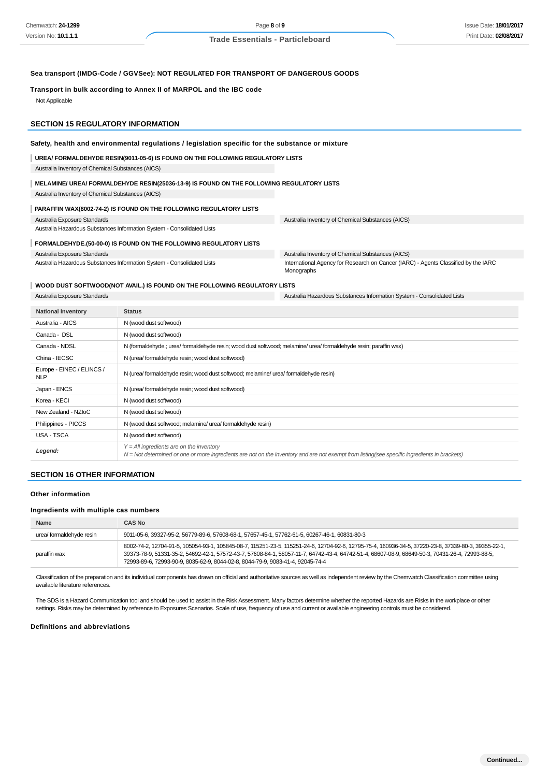#### **Sea transport (IMDG-Code / GGVSee): NOT REGULATED FOR TRANSPORT OF DANGEROUS GOODS**

#### **Transport in bulk according to Annex II of MARPOL and the IBC code**

Not Applicable

#### **SECTION 15 REGULATORY INFORMATION**

#### **Safety, health and environmental regulations / legislation specific for the substance or mixture**

**UREA/ FORMALDEHYDE RESIN(9011-05-6) IS FOUND ON THE FOLLOWING REGULATORY LISTS**

Australia Inventory of Chemical Substances (AICS)

#### **MELAMINE/ UREA/ FORMALDEHYDE RESIN(25036-13-9) IS FOUND ON THE FOLLOWING REGULATORY LISTS**

Australia Inventory of Chemical Substances (AICS)

## **PARAFFIN WAX(8002-74-2) IS FOUND ON THE FOLLOWING REGULATORY LISTS**

Australia Exposure Standards Australia Hazardous Substances Information System - Consolidated Lists Australia Inventory of Chemical Substances (AICS)

**FORMALDEHYDE.(50-00-0) IS FOUND ON THE FOLLOWING REGULATORY LISTS** Australia Inventory of Chemical Substances (AICS)

Australia Hazardous Substances Information System - Consolidated Lists

International Agency for Research on Cancer (IARC) - Agents Classified by the IARC Monographs

#### **WOOD DUST SOFTWOOD(NOT AVAIL.) IS FOUND ON THE FOLLOWING REGULATORY LISTS**

Australia Exposure Standards

Australia Exposure Standards Australia Hazardous Substances Information System - Consolidated Lists

| <b>National Inventory</b>               | <b>Status</b>                                                                                                                                                                                |
|-----------------------------------------|----------------------------------------------------------------------------------------------------------------------------------------------------------------------------------------------|
| Australia - AICS                        | N (wood dust softwood)                                                                                                                                                                       |
| Canada - DSL                            | N (wood dust softwood)                                                                                                                                                                       |
| Canada - NDSL                           | N (formaldehyde.; urea/ formaldehyde resin; wood dust softwood; melamine/ urea/ formaldehyde resin; paraffin wax)                                                                            |
| China - IECSC                           | N (urea/ formaldehyde resin; wood dust softwood)                                                                                                                                             |
| Europe - EINEC / ELINCS /<br><b>NLP</b> | N (urea/ formaldehyde resin; wood dust softwood; melamine/ urea/ formaldehyde resin)                                                                                                         |
| Japan - ENCS                            | N (urea/formaldehyde resin; wood dust softwood)                                                                                                                                              |
| Korea - KECI                            | N (wood dust softwood)                                                                                                                                                                       |
| New Zealand - NZIoC                     | N (wood dust softwood)                                                                                                                                                                       |
| Philippines - PICCS                     | N (wood dust softwood; melamine/ urea/ formaldehyde resin)                                                                                                                                   |
| USA - TSCA                              | N (wood dust softwood)                                                                                                                                                                       |
| Legend:                                 | $Y = All$ ingredients are on the inventory<br>$N = Not$ determined or one or more ingredients are not on the inventory and are not exempt from listing(see specific ingredients in brackets) |
|                                         |                                                                                                                                                                                              |

#### **SECTION 16 OTHER INFORMATION**

#### **Other information**

#### **Ingredients with multiple cas numbers**

| <b>Name</b>             | <b>CAS No</b>                                                                                                                                                                                                                                                                                                                                                                            |  |
|-------------------------|------------------------------------------------------------------------------------------------------------------------------------------------------------------------------------------------------------------------------------------------------------------------------------------------------------------------------------------------------------------------------------------|--|
| urea/formaldehyde resin | 9011-05-6, 39327-95-2, 56779-89-6, 57608-68-1, 57657-45-1, 57762-61-5, 60267-46-1, 60831-80-3                                                                                                                                                                                                                                                                                            |  |
| paraffin wax            | 8002-74-2, 12704-91-5, 105054-93-1, 105845-08-7, 115251-23-5, 115251-24-6, 12704-92-6, 12795-75-4, 160936-34-5, 37220-23-8, 37339-80-3, 39355-22-1,<br>39373-78-9, 51331-35-2, 54692-42-1, 57572-43-7, 57608-84-1, 58057-11-7, 64742-43-4, 64742-51-4, 68607-08-9, 68649-50-3, 70431-26-4, 72993-88-5,<br>72993-89-6, 72993-90-9, 8035-62-9, 8044-02-8, 8044-79-9, 9083-41-4, 92045-74-4 |  |

Classification of the preparation and its individual components has drawn on official and authoritative sources as well as independent review by the Chemwatch Classification committee using available literature references.

The SDS is a Hazard Communication tool and should be used to assist in the Risk Assessment. Many factors determine whether the reported Hazards are Risks in the workplace or other settings. Risks may be determined by reference to Exposures Scenarios. Scale of use, frequency of use and current or available engineering controls must be considered.

#### **Definitions and abbreviations**